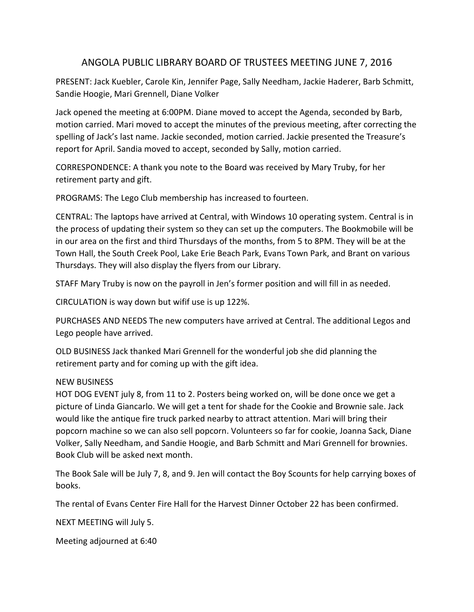## ANGOLA PUBLIC LIBRARY BOARD OF TRUSTEES MEETING JUNE 7, 2016

PRESENT: Jack Kuebler, Carole Kin, Jennifer Page, Sally Needham, Jackie Haderer, Barb Schmitt, Sandie Hoogie, Mari Grennell, Diane Volker

Jack opened the meeting at 6:00PM. Diane moved to accept the Agenda, seconded by Barb, motion carried. Mari moved to accept the minutes of the previous meeting, after correcting the spelling of Jack's last name. Jackie seconded, motion carried. Jackie presented the Treasure's report for April. Sandia moved to accept, seconded by Sally, motion carried.

CORRESPONDENCE: A thank you note to the Board was received by Mary Truby, for her retirement party and gift.

PROGRAMS: The Lego Club membership has increased to fourteen.

CENTRAL: The laptops have arrived at Central, with Windows 10 operating system. Central is in the process of updating their system so they can set up the computers. The Bookmobile will be in our area on the first and third Thursdays of the months, from 5 to 8PM. They will be at the Town Hall, the South Creek Pool, Lake Erie Beach Park, Evans Town Park, and Brant on various Thursdays. They will also display the flyers from our Library.

STAFF Mary Truby is now on the payroll in Jen's former position and will fill in as needed.

CIRCULATION is way down but wifif use is up 122%.

PURCHASES AND NEEDS The new computers have arrived at Central. The additional Legos and Lego people have arrived.

OLD BUSINESS Jack thanked Mari Grennell for the wonderful job she did planning the retirement party and for coming up with the gift idea.

## NEW BUSINESS

HOT DOG EVENT july 8, from 11 to 2. Posters being worked on, will be done once we get a picture of Linda Giancarlo. We will get a tent for shade for the Cookie and Brownie sale. Jack would like the antique fire truck parked nearby to attract attention. Mari will bring their popcorn machine so we can also sell popcorn. Volunteers so far for cookie, Joanna Sack, Diane Volker, Sally Needham, and Sandie Hoogie, and Barb Schmitt and Mari Grennell for brownies. Book Club will be asked next month.

The Book Sale will be July 7, 8, and 9. Jen will contact the Boy Scounts for help carrying boxes of books.

The rental of Evans Center Fire Hall for the Harvest Dinner October 22 has been confirmed.

NEXT MEETING will July 5.

Meeting adjourned at 6:40